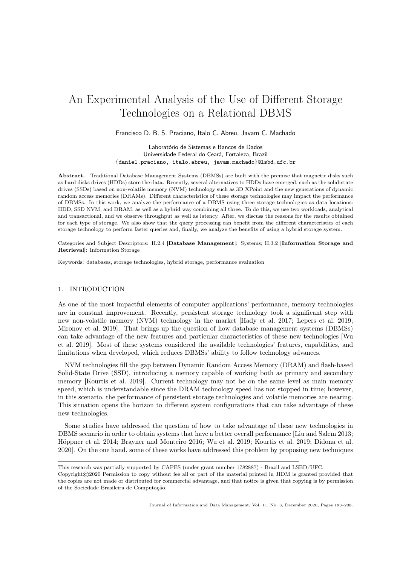# An Experimental Analysis of the Use of Different Storage Technologies on a Relational DBMS

#### Francisco D. B. S. Praciano, Italo C. Abreu, Javam C. Machado

Laboratório de Sistemas e Bancos de Dados Universidade Federal do Ceará, Fortaleza, Brazil {daniel.praciano, italo.abreu, javam.machado}@lsbd.ufc.br

Abstract. Traditional Database Management Systems (DBMSs) are built with the premise that magnetic disks such as hard disks drives (HDDs) store the data. Recently, several alternatives to HDDs have emerged, such as the solid-state drives (SSDs) based on non-volatile memory (NVM) technology such as 3D XPoint and the new generations of dynamic random access memories (DRAMs). Different characteristics of these storage technologies may impact the performance of DBMSs. In this work, we analyze the performance of a DBMS using three storage technologies as data locations: HDD, SSD NVM, and DRAM, as well as a hybrid way combining all three. To do this, we use two workloads, analytical and transactional, and we observe throughput as well as latency. After, we discuss the reasons for the results obtained for each type of storage. We also show that the query processing can benefit from the different characteristics of each storage technology to perform faster queries and, finally, we analyze the benefits of using a hybrid storage system.

Categories and Subject Descriptors: H.2.4 [Database Management]: Systems; H.3.2 [Information Storage and Retrieval]: Information Storage

Keywords: databases, storage technologies, hybrid storage, performance evaluation

### 1. INTRODUCTION

As one of the most impactful elements of computer applications' performance, memory technologies are in constant improvement. Recently, persistent storage technology took a significant step with new non-volatile memory (NVM) technology in the market [Hady et al. 2017; Lepers et al. 2019; Mironov et al. 2019]. That brings up the question of how database management systems (DBMSs) can take advantage of the new features and particular characteristics of these new technologies [Wu et al. 2019]. Most of these systems considered the available technologies' features, capabilities, and limitations when developed, which reduces DBMSs' ability to follow technology advances.

NVM technologies fill the gap between Dynamic Random Access Memory (DRAM) and flash-based Solid-State Drive (SSD), introducing a memory capable of working both as primary and secondary memory [Kourtis et al. 2019]. Current technology may not be on the same level as main memory speed, which is understandable since the DRAM technology speed has not stopped in time; however, in this scenario, the performance of persistent storage technologies and volatile memories are nearing. This situation opens the horizon to different system configurations that can take advantage of these new technologies.

Some studies have addressed the question of how to take advantage of these new technologies in DBMS scenario in order to obtain systems that have a better overall performance [Liu and Salem 2013; Höppner et al. 2014; Brayner and Monteiro 2016; Wu et al. 2019; Kourtis et al. 2019; Didona et al. 2020]. On the one hand, some of these works have addressed this problem by proposing new techniques

This research was partially supported by CAPES (under grant number 1782887) - Brazil and LSBD/UFC.

Copyright©2020 Permission to copy without fee all or part of the material printed in JIDM is granted provided that the copies are not made or distributed for commercial advantage, and that notice is given that copying is by permission of the Sociedade Brasileira de Computação.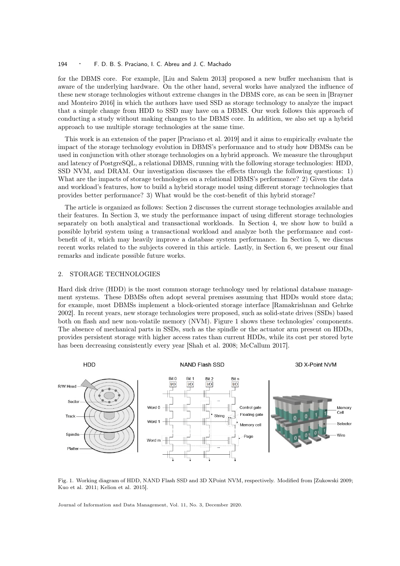#### 194 · F. D. B. S. Praciano, I. C. Abreu and J. C. Machado

for the DBMS core. For example, [Liu and Salem 2013] proposed a new buffer mechanism that is aware of the underlying hardware. On the other hand, several works have analyzed the influence of these new storage technologies without extreme changes in the DBMS core, as can be seen in [Brayner and Monteiro 2016] in which the authors have used SSD as storage technology to analyze the impact that a simple change from HDD to SSD may have on a DBMS. Our work follows this approach of conducting a study without making changes to the DBMS core. In addition, we also set up a hybrid approach to use multiple storage technologies at the same time.

This work is an extension of the paper [Praciano et al. 2019] and it aims to empirically evaluate the impact of the storage technology evolution in DBMS's performance and to study how DBMSs can be used in conjunction with other storage technologies on a hybrid approach. We measure the throughput and latency of PostgreSQL, a relational DBMS, running with the following storage technologies: HDD, SSD NVM, and DRAM. Our investigation discusses the effects through the following questions: 1) What are the impacts of storage technologies on a relational DBMS's performance? 2) Given the data and workload's features, how to build a hybrid storage model using different storage technologies that provides better performance? 3) What would be the cost-benefit of this hybrid storage?

The article is organized as follows: Section 2 discusses the current storage technologies available and their features. In Section 3, we study the performance impact of using different storage technologies separately on both analytical and transactional workloads. In Section 4, we show how to build a possible hybrid system using a transactional workload and analyze both the performance and costbenefit of it, which may heavily improve a database system performance. In Section 5, we discuss recent works related to the subjects covered in this article. Lastly, in Section 6, we present our final remarks and indicate possible future works.

#### 2. STORAGE TECHNOLOGIES

Hard disk drive (HDD) is the most common storage technology used by relational database management systems. These DBMSs often adopt several premises assuming that HDDs would store data; for example, most DBMSs implement a block-oriented storage interface [Ramakrishnan and Gehrke 2002]. In recent years, new storage technologies were proposed, such as solid-state drives (SSDs) based both on flash and new non-volatile memory (NVM). Figure 1 shows these technologies' components. The absence of mechanical parts in SSDs, such as the spindle or the actuator arm present on HDDs, provides persistent storage with higher access rates than current HDDs, while its cost per stored byte has been decreasing consistently every year [Shah et al. 2008; McCallum 2017].



Fig. 1. Working diagram of HDD, NAND Flash SSD and 3D XPoint NVM, respectively. Modified from [Zukowski 2009; Kuo et al. 2011; Kelion et al. 2015].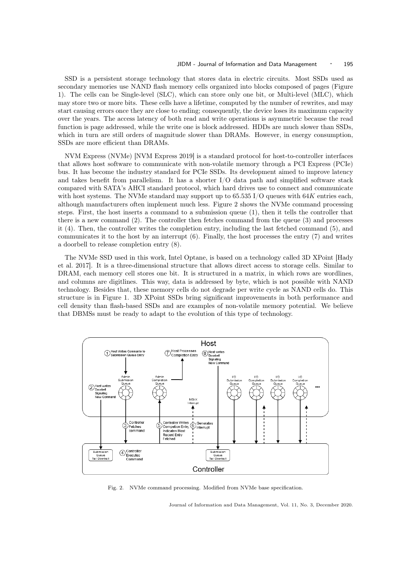SSD is a persistent storage technology that stores data in electric circuits. Most SSDs used as secondary memories use NAND flash memory cells organized into blocks composed of pages (Figure 1). The cells can be Single-level (SLC), which can store only one bit, or Multi-level (MLC), which may store two or more bits. These cells have a lifetime, computed by the number of rewrites, and may start causing errors once they are close to ending; consequently, the device loses its maximum capacity over the years. The access latency of both read and write operations is asymmetric because the read function is page addressed, while the write one is block addressed. HDDs are much slower than SSDs, which in turn are still orders of magnitude slower than DRAMs. However, in energy consumption, SSDs are more efficient than DRAMs.

NVM Express (NVMe) [NVM Express 2019] is a standard protocol for host-to-controller interfaces that allows host software to communicate with non-volatile memory through a PCI Express (PCIe) bus. It has become the industry standard for PCIe SSDs. Its development aimed to improve latency and takes benefit from parallelism. It has a shorter I/O data path and simplified software stack compared with SATA's AHCI standard protocol, which hard drives use to connect and communicate with host systems. The NVMe standard may support up to  $65.535\,\mathrm{I/O}$  queues with  $64K$  entries each, although manufacturers often implement much less. Figure 2 shows the NVMe command processing steps. First, the host inserts a command to a submission queue (1), then it tells the controller that there is a new command (2). The controller then fetches command from the queue (3) and processes it (4). Then, the controller writes the completion entry, including the last fetched command (5), and communicates it to the host by an interrupt (6). Finally, the host processes the entry (7) and writes a doorbell to release completion entry (8).

The NVMe SSD used in this work, Intel Optane, is based on a technology called 3D XPoint [Hady et al. 2017]. It is a three-dimensional structure that allows direct access to storage cells. Similar to DRAM, each memory cell stores one bit. It is structured in a matrix, in which rows are wordlines, and columns are digitlines. This way, data is addressed by byte, which is not possible with NAND technology. Besides that, these memory cells do not degrade per write cycle as NAND cells do. This structure is in Figure 1. 3D XPoint SSDs bring significant improvements in both performance and cell density than flash-based SSDs and are examples of non-volatile memory potential. We believe that DBMSs must be ready to adapt to the evolution of this type of technology.



Fig. 2. NVMe command processing. Modified from NVMe base specification.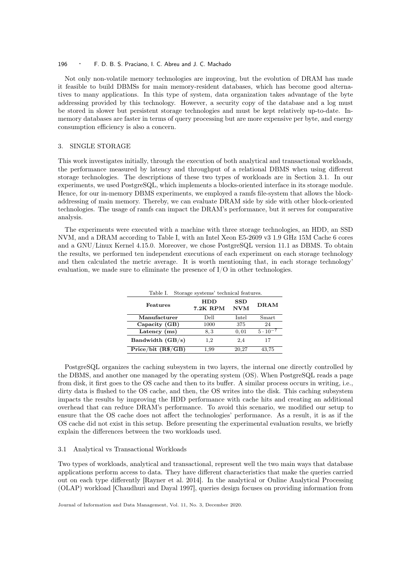#### 196 · F. D. B. S. Praciano, I. C. Abreu and J. C. Machado

Not only non-volatile memory technologies are improving, but the evolution of DRAM has made it feasible to build DBMSs for main memory-resident databases, which has become good alternatives to many applications. In this type of system, data organization takes advantage of the byte addressing provided by this technology. However, a security copy of the database and a log must be stored in slower but persistent storage technologies and must be kept relatively up-to-date. Inmemory databases are faster in terms of query processing but are more expensive per byte, and energy consumption efficiency is also a concern.

#### 3. SINGLE STORAGE

This work investigates initially, through the execution of both analytical and transactional workloads, the performance measured by latency and throughput of a relational DBMS when using different storage technologies. The descriptions of these two types of workloads are in Section 3.1. In our experiments, we used PostgreSQL, which implements a blocks-oriented interface in its storage module. Hence, for our in-memory DBMS experiments, we employed a ramfs file-system that allows the blockaddressing of main memory. Thereby, we can evaluate DRAM side by side with other block-oriented technologies. The usage of ramfs can impact the DRAM's performance, but it serves for comparative analysis.

The experiments were executed with a machine with three storage technologies, an HDD, an SSD NVM, and a DRAM according to Table I, with an Intel Xeon E5-2609 v3 1.9 GHz 15M Cache 6 cores and a GNU/Linux Kernel 4.15.0. Moreover, we chose PostgreSQL version 11.1 as DBMS. To obtain the results, we performed ten independent executions of each experiment on each storage technology and then calculated the metric average. It is worth mentioning that, in each storage technology' evaluation, we made sure to eliminate the presence of I/O in other technologies.

| Storage systems' technical features.<br>Table I. |                 |                            |                   |  |
|--------------------------------------------------|-----------------|----------------------------|-------------------|--|
| Features                                         | HDD<br>7.2K RPM | $_{\rm SSD}$<br><b>NVM</b> | DRAM              |  |
| Manufacturer                                     | Dell            | Intel                      | Smart             |  |
| Capacity (GB)                                    | 1000            | 375                        | 24                |  |
| Latency $(ms)$                                   | 8.3             | 0,01                       | $5 \cdot 10^{-7}$ |  |
| Bandwidth $(GB/s)$                               | 1,2             | 2,4                        | 17                |  |
| Price/bit (R <sup>8</sup> /GB)                   | 1,99            | 20.27                      | 43,75             |  |

PostgreSQL organizes the caching subsystem in two layers, the internal one directly controlled by the DBMS, and another one managed by the operating system (OS). When PostgreSQL reads a page from disk, it first goes to the OS cache and then to its buffer. A similar process occurs in writing, i.e., dirty data is flushed to the OS cache, and then, the OS writes into the disk. This caching subsystem impacts the results by improving the HDD performance with cache hits and creating an additional overhead that can reduce DRAM's performance. To avoid this scenario, we modified our setup to ensure that the OS cache does not affect the technologies' performance. As a result, it is as if the OS cache did not exist in this setup. Before presenting the experimental evaluation results, we briefly explain the differences between the two workloads used.

#### 3.1 Analytical vs Transactional Workloads

Two types of workloads, analytical and transactional, represent well the two main ways that database applications perform access to data. They have different characteristics that make the queries carried out on each type differently [Rayner et al. 2014]. In the analytical or Online Analytical Processing (OLAP) workload [Chaudhuri and Dayal 1997], queries design focuses on providing information from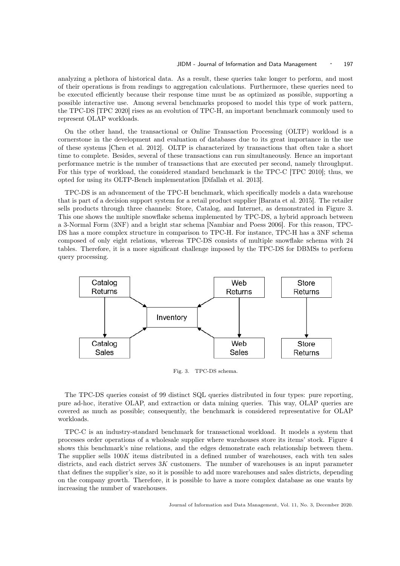analyzing a plethora of historical data. As a result, these queries take longer to perform, and most of their operations is from readings to aggregation calculations. Furthermore, these queries need to be executed efficiently because their response time must be as optimized as possible, supporting a possible interactive use. Among several benchmarks proposed to model this type of work pattern, the TPC-DS [TPC 2020] rises as an evolution of TPC-H, an important benchmark commonly used to represent OLAP workloads.

On the other hand, the transactional or Online Transaction Processing (OLTP) workload is a cornerstone in the development and evaluation of databases due to its great importance in the use of these systems [Chen et al. 2012]. OLTP is characterized by transactions that often take a short time to complete. Besides, several of these transactions can run simultaneously. Hence an important performance metric is the number of transactions that are executed per second, namely throughput. For this type of workload, the considered standard benchmark is the TPC-C [TPC 2010]; thus, we opted for using its OLTP-Bench implementation [Difallah et al. 2013].

TPC-DS is an advancement of the TPC-H benchmark, which specifically models a data warehouse that is part of a decision support system for a retail product supplier [Barata et al. 2015]. The retailer sells products through three channels: Store, Catalog, and Internet, as demonstrated in Figure 3. This one shows the multiple snowflake schema implemented by TPC-DS, a hybrid approach between a 3-Normal Form (3NF) and a bright star schema [Nambiar and Poess 2006]. For this reason, TPC-DS has a more complex structure in comparison to TPC-H. For instance, TPC-H has a 3NF schema composed of only eight relations, whereas TPC-DS consists of multiple snowflake schema with 24 tables. Therefore, it is a more significant challenge imposed by the TPC-DS for DBMSs to perform query processing.



Fig. 3. TPC-DS schema.

The TPC-DS queries consist of 99 distinct SQL queries distributed in four types: pure reporting, pure ad-hoc, iterative OLAP, and extraction or data mining queries. This way, OLAP queries are covered as much as possible; consequently, the benchmark is considered representative for OLAP workloads.

TPC-C is an industry-standard benchmark for transactional workload. It models a system that processes order operations of a wholesale supplier where warehouses store its items' stock. Figure 4 shows this benchmark's nine relations, and the edges demonstrate each relationship between them. The supplier sells 100K items distributed in a defined number of warehouses, each with ten sales districts, and each district serves  $3K$  customers. The number of warehouses is an input parameter that defines the supplier's size, so it is possible to add more warehouses and sales districts, depending on the company growth. Therefore, it is possible to have a more complex database as one wants by increasing the number of warehouses.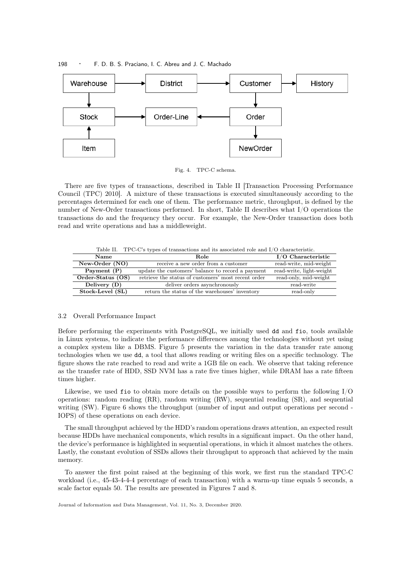

198 · F. D. B. S. Praciano, I. C. Abreu and J. C. Machado

Fig. 4. TPC-C schema.

There are five types of transactions, described in Table II [Transaction Processing Performance Council (TPC) 2010]. A mixture of these transactions is executed simultaneously according to the percentages determined for each one of them. The performance metric, throughput, is defined by the number of New-Order transactions performed. In short, Table II describes what I/O operations the transactions do and the frequency they occur. For example, the New-Order transaction does both read and write operations and has a middleweight.

Table II. TPC-C's types of transactions and its associated role and I/O characteristic.

| <b>Name</b>       | Role                                                | $I/O$ Characteristic     |
|-------------------|-----------------------------------------------------|--------------------------|
| New-Order (NO)    | receive a new order from a customer                 | read-write, mid-weight   |
| Payment (P)       | update the customers' balance to record a payment   | read-write, light-weight |
| Order-Status (OS) | retrieve the status of customers' most recent order | read-only, mid-weight    |
| Delivery (D)      | deliver orders asynchronously                       | read-write               |
| Stock-Level (SL)  | return the status of the warehouses' inventory      | read-only                |

#### 3.2 Overall Performance Impact

Before performing the experiments with PostgreSQL, we initially used dd and fio, tools available in Linux systems, to indicate the performance differences among the technologies without yet using a complex system like a DBMS. Figure 5 presents the variation in the data transfer rate among technologies when we use dd, a tool that allows reading or writing files on a specific technology. The figure shows the rate reached to read and write a 1GB file on each. We observe that taking reference as the transfer rate of HDD, SSD NVM has a rate five times higher, while DRAM has a rate fifteen times higher.

Likewise, we used fio to obtain more details on the possible ways to perform the following  $I/O$ operations: random reading (RR), random writing (RW), sequential reading (SR), and sequential writing (SW). Figure 6 shows the throughput (number of input and output operations per second - IOPS) of these operations on each device.

The small throughput achieved by the HDD's random operations draws attention, an expected result because HDDs have mechanical components, which results in a significant impact. On the other hand, the device's performance is highlighted in sequential operations, in which it almost matches the others. Lastly, the constant evolution of SSDs allows their throughput to approach that achieved by the main memory.

To answer the first point raised at the beginning of this work, we first run the standard TPC-C workload (i.e., 45-43-4-4-4 percentage of each transaction) with a warm-up time equals 5 seconds, a scale factor equals 50. The results are presented in Figures 7 and 8.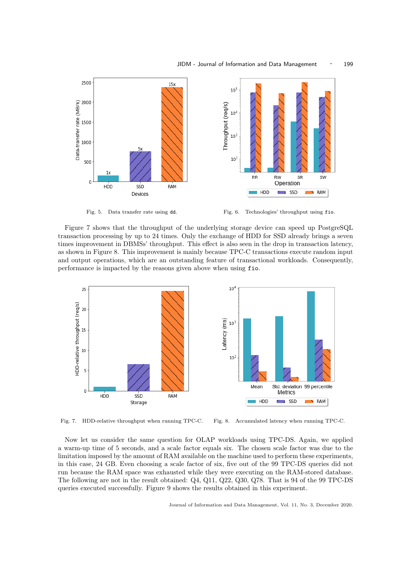

Fig. 5. Data transfer rate using dd. Fig. 6. Technologies' throughput using fio.

Figure 7 shows that the throughput of the underlying storage device can speed up PostgreSQL transaction processing by up to 24 times. Only the exchange of HDD for SSD already brings a seven times improvement in DBMSs' throughput. This effect is also seen in the drop in transaction latency, as shown in Figure 8. This improvement is mainly because TPC-C transactions execute random input and output operations, which are an outstanding feature of transactional workloads. Consequently, performance is impacted by the reasons given above when using fio.



Fig. 7. HDD-relative throughput when running TPC-C. Fig. 8. Accumulated latency when running TPC-C.

Now let us consider the same question for OLAP workloads using TPC-DS. Again, we applied a warm-up time of 5 seconds, and a scale factor equals six. The chosen scale factor was due to the limitation imposed by the amount of RAM available on the machine used to perform these experiments, in this case, 24 GB. Even choosing a scale factor of six, five out of the 99 TPC-DS queries did not run because the RAM space was exhausted while they were executing on the RAM-stored database. The following are not in the result obtained: Q4, Q11, Q22, Q30, Q78. That is 94 of the 99 TPC-DS queries executed successfully. Figure 9 shows the results obtained in this experiment.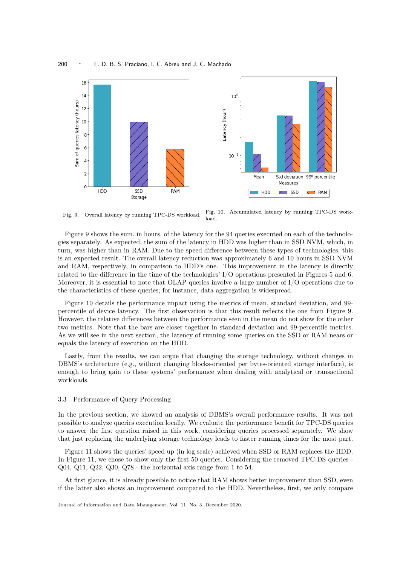

Fig. 9. Overall latency by running TPC-DS workload. Fig. 10. Accumulated latency by running TPC-DS workload.

Figure 9 shows the sum, in hours, of the latency for the 94 queries executed on each of the technologies separately. As expected, the sum of the latency in HDD was higher than in SSD NVM, which, in turn, was higher than in RAM. Due to the speed difference between these types of technologies, this is an expected result. The overall latency reduction was approximately 6 and 10 hours in SSD NVM and RAM, respectively, in comparison to HDD's one. This improvement in the latency is directly related to the difference in the time of the technologies' I/O operations presented in Figures 5 and 6. Moreover, it is essential to note that OLAP queries involve a large number of I/O operations due to the characteristics of these queries; for instance, data aggregation is widespread.

Figure 10 details the performance impact using the metrics of mean, standard deviation, and 99 percentile of device latency. The first observation is that this result reflects the one from Figure 9. However, the relative differences between the performance seen in the mean do not show for the other two metrics. Note that the bars are closer together in standard deviation and 99-percentile metrics. As we will see in the next section, the latency of running some queries on the SSD or RAM nears or equals the latency of execution on the HDD.

Lastly, from the results, we can argue that changing the storage technology, without changes in DBMS's architecture (e.g., without changing blocks-oriented per bytes-oriented storage interface), is enough to bring gain to these systems' performance when dealing with analytical or transactional workloads.

#### 3.3 Performance of Query Processing

In the previous section, we showed an analysis of DBMS's overall performance results. It was not possible to analyze queries execution locally. We evaluate the performance benefit for TPC-DS queries to answer the first question raised in this work, considering queries processed separately. We show that just replacing the underlying storage technology leads to faster running times for the most part.

Figure 11 shows the queries' speed up (in log scale) achieved when SSD or RAM replaces the HDD. In Figure 11, we chose to show only the first 50 queries. Considering the removed TPC-DS queries - Q04, Q11, Q22, Q30, Q78 - the horizontal axis range from 1 to 54.

At first glance, it is already possible to notice that RAM shows better improvement than SSD, even if the latter also shows an improvement compared to the HDD. Nevertheless, first, we only compare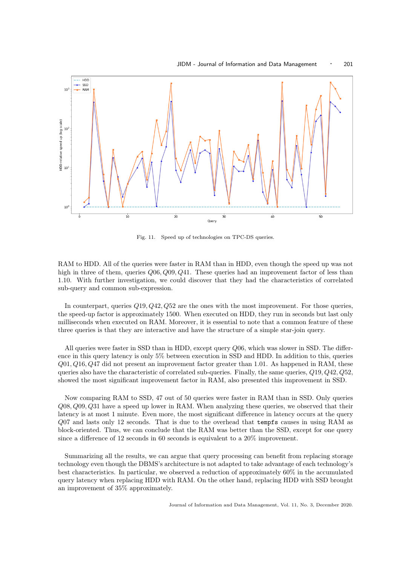

Fig. 11. Speed up of technologies on TPC-DS queries.

RAM to HDD. All of the queries were faster in RAM than in HDD, even though the speed up was not high in three of them, queries  $Q06, Q09, Q41$ . These queries had an improvement factor of less than 1.10. With further investigation, we could discover that they had the characteristics of correlated sub-query and common sub-expression.

In counterpart, queries  $Q_19, Q_42, Q_52$  are the ones with the most improvement. For those queries, the speed-up factor is approximately 1500. When executed on HDD, they run in seconds but last only milliseconds when executed on RAM. Moreover, it is essential to note that a common feature of these three queries is that they are interactive and have the structure of a simple star-join query.

All queries were faster in SSD than in HDD, except query Q06, which was slower in SSD. The difference in this query latency is only 5% between execution in SSD and HDD. In addition to this, queries  $Q01, Q16, Q47$  did not present an improvement factor greater than 1.01. As happened in RAM, these queries also have the characteristic of correlated sub-queries. Finally, the same queries, Q19, Q42, Q52, showed the most significant improvement factor in RAM, also presented this improvement in SSD.

Now comparing RAM to SSD, 47 out of 50 queries were faster in RAM than in SSD. Only queries  $Q08, Q09, Q31$  have a speed up lower in RAM. When analyzing these queries, we observed that their latency is at most 1 minute. Even more, the most significant difference in latency occurs at the query Q07 and lasts only 12 seconds. That is due to the overhead that tempfs causes in using RAM as block-oriented. Thus, we can conclude that the RAM was better than the SSD, except for one query since a difference of 12 seconds in 60 seconds is equivalent to a 20% improvement.

Summarizing all the results, we can argue that query processing can benefit from replacing storage technology even though the DBMS's architecture is not adapted to take advantage of each technology's best characteristics. In particular, we observed a reduction of approximately 60% in the accumulated query latency when replacing HDD with RAM. On the other hand, replacing HDD with SSD brought an improvement of 35% approximately.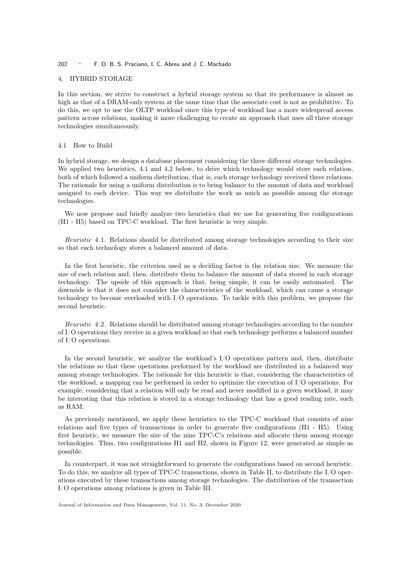#### 4. HYBRID STORAGE

In this section, we strive to construct a hybrid storage system so that its performance is almost as high as that of a DRAM-only system at the same time that the associate cost is not as prohibitive. To do this, we opt to use the OLTP workload since this type of workload has a more widespread access pattern across relations, making it more challenging to create an approach that uses all three storage technologies simultaneously.

#### 4.1 How to Build

In hybrid storage, we design a database placement considering the three different storage technologies. We applied two heuristics, 4.1 and 4.2 below, to drive which technology would store each relation, both of which followed a uniform distribution, that is, each storage technology received three relations. The rationale for using a uniform distribution is to bring balance to the amount of data and workload assigned to each device. This way we distribute the work as much as possible among the storage technologies.

We now propose and briefly analyze two heuristics that we use for generating five configurations (H1 - H5) based on TPC-C workload. The first heuristic is very simple.

Heuristic 4.1. Relations should be distributed among storage technologies according to their size so that each technology stores a balanced amount of data.

In the first heuristic, the criterion used as a deciding factor is the relation size. We measure the size of each relation and, then, distribute them to balance the amount of data stored in each storage technology. The upside of this approach is that, being simple, it can be easily automated. The downside is that it does not consider the characteristics of the workload, which can cause a storage technology to become overloaded with I/O operations. To tackle with this problem, we propose the second heuristic.

Heuristic 4.2. Relations should be distributed among storage technologies according to the number of I/O operations they receive in a given workload so that each technology performs a balanced number of I/O operations.

In the second heuristic, we analyze the workload's I/O operations pattern and, then, distribute the relations so that these operations performed by the workload are distributed in a balanced way among storage technologies. The rationale for this heuristic is that, considering the characteristics of the workload, a mapping can be performed in order to optimize the execution of I/O operations. For example, considering that a relation will only be read and never modified in a given workload, it may be interesting that this relation is stored in a storage technology that has a good reading rate, such as RAM.

As previously mentioned, we apply these heuristics to the TPC-C workload that consists of nine relations and five types of transactions in order to generate five configurations (H1 - H5). Using first heuristic, we measure the size of the nine TPC-C's relations and allocate them among storage technologies. Thus, two configurations H1 and H2, shown in Figure 12, were generated as simple as possible.

In counterpart, it was not straightforward to generate the configurations based on second heuristic. To do this, we analyze all types of TPC-C transactions, shown in Table II, to distribute the I/O operations executed by these transactions among storage technologies. The distribution of the transaction I/O operations among relations is given in Table III.

Journal of Information and Data Management, Vol. 11, No. 3, December 2020.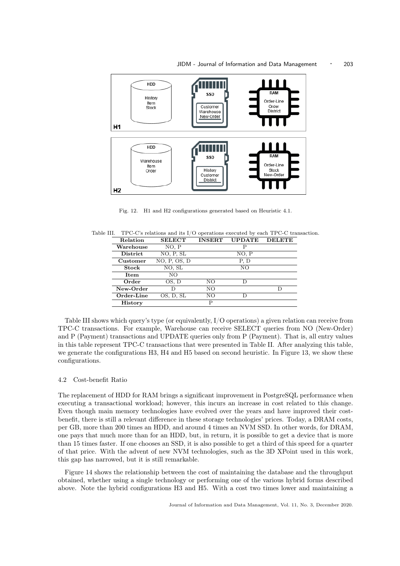

Fig. 12. H1 and H2 configurations generated based on Heuristic 4.1.

Table III. TPC-C's relations and its I/O operations executed by each TPC-C transaction.

| Relation        | <b>SELECT</b> | <b>INSERT</b> | <b>UPDATE</b> | <b>DELETE</b> |
|-----------------|---------------|---------------|---------------|---------------|
| Warehouse       | NO, P         |               | Р             |               |
| <b>District</b> | NO, P, SL     |               | NO, P         |               |
| Customer        | NO, P, OS, D  |               | P. D          |               |
| Stock           | NO, SL        |               | NO            |               |
| Item            | NO.           |               |               |               |
| Order           | OS, D         | NO            | D             |               |
| New-Order       |               | NO            |               | D             |
| Order-Line      | OS, D, SL     | NO            | D             |               |
| <b>History</b>  |               | P             |               |               |
|                 |               |               |               |               |

Table III shows which query's type (or equivalently, I/O operations) a given relation can receive from TPC-C transactions. For example, Warehouse can receive SELECT queries from NO (New-Order) and P (Payment) transactions and UPDATE queries only from P (Payment). That is, all entry values in this table represent TPC-C transactions that were presented in Table II. After analyzing this table, we generate the configurations H3, H4 and H5 based on second heuristic. In Figure 13, we show these configurations.

# 4.2 Cost-benefit Ratio

The replacement of HDD for RAM brings a significant improvement in PostgreSQL performance when executing a transactional workload; however, this incurs an increase in cost related to this change. Even though main memory technologies have evolved over the years and have improved their costbenefit, there is still a relevant difference in these storage technologies' prices. Today, a DRAM costs, per GB, more than 200 times an HDD, and around 4 times an NVM SSD. In other words, for DRAM, one pays that much more than for an HDD, but, in return, it is possible to get a device that is more than 15 times faster. If one chooses an SSD, it is also possible to get a third of this speed for a quarter of that price. With the advent of new NVM technologies, such as the 3D XPoint used in this work, this gap has narrowed, but it is still remarkable.

Figure 14 shows the relationship between the cost of maintaining the database and the throughput obtained, whether using a single technology or performing one of the various hybrid forms described above. Note the hybrid configurations H3 and H5. With a cost two times lower and maintaining a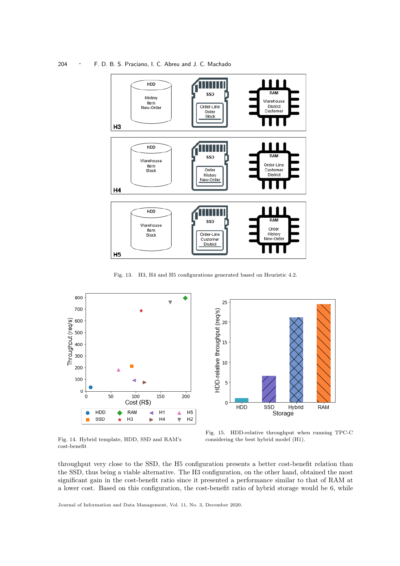204 · F. D. B. S. Praciano, I. C. Abreu and J. C. Machado



Fig. 13. H3, H4 and H5 configurations generated based on Heuristic 4.2.





Fig. 14. Hybrid template, HDD, SSD and RAM's cost-benefit

Fig. 15. HDD-relative throughput when running TPC-C considering the best hybrid model (H1).

throughput very close to the SSD, the H5 configuration presents a better cost-benefit relation than the SSD, thus being a viable alternative. The H3 configuration, on the other hand, obtained the most significant gain in the cost-benefit ratio since it presented a performance similar to that of RAM at a lower cost. Based on this configuration, the cost-benefit ratio of hybrid storage would be 6, while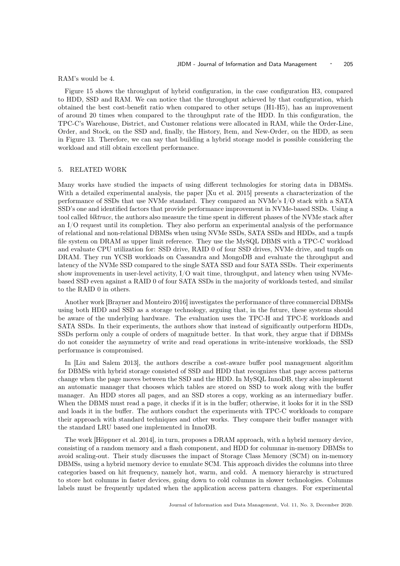RAM's would be 4.

Figure 15 shows the throughput of hybrid configuration, in the case configuration H3, compared to HDD, SSD and RAM. We can notice that the throughput achieved by that configuration, which obtained the best cost-benefit ratio when compared to other setups (H1-H5), has an improvement of around 20 times when compared to the throughput rate of the HDD. In this configuration, the TPC-C's Warehouse, District, and Customer relations were allocated in RAM, while the Order-Line, Order, and Stock, on the SSD and, finally, the History, Item, and New-Order, on the HDD, as seen in Figure 13. Therefore, we can say that building a hybrid storage model is possible considering the workload and still obtain excellent performance.

#### 5. RELATED WORK

Many works have studied the impacts of using different technologies for storing data in DBMSs. With a detailed experimental analysis, the paper [Xu et al. 2015] presents a characterization of the performance of SSDs that use NVMe standard. They compared an NVMe's I/O stack with a SATA SSD's one and identified factors that provide performance improvement in NVMe-based SSDs. Using a tool called blktrace, the authors also measure the time spent in different phases of the NVMe stack after an I/O request until its completion. They also perform an experimental analysis of the performance of relational and non-relational DBMSs when using NVMe SSDs, SATA SSDs and HDDs, and a tmpfs file system on DRAM as upper limit reference. They use the MySQL DBMS with a TPC-C workload and evaluate CPU utilization for: SSD drive, RAID 0 of four SSD drives, NVMe drive, and tmpfs on DRAM. They run YCSB workloads on Cassandra and MongoDB and evaluate the throughput and latency of the NVMe SSD compared to the single SATA SSD and four SATA SSDs. Their experiments show improvements in user-level activity, I/O wait time, throughput, and latency when using NVMebased SSD even against a RAID 0 of four SATA SSDs in the majority of workloads tested, and similar to the RAID 0 in others.

Another work [Brayner and Monteiro 2016] investigates the performance of three commercial DBMSs using both HDD and SSD as a storage technology, arguing that, in the future, these systems should be aware of the underlying hardware. The evaluation uses the TPC-H and TPC-E workloads and SATA SSDs. In their experiments, the authors show that instead of significantly outperform HDDs, SSDs perform only a couple of orders of magnitude better. In that work, they argue that if DBMSs do not consider the asymmetry of write and read operations in write-intensive workloads, the SSD performance is compromised.

In [Liu and Salem 2013], the authors describe a cost-aware buffer pool management algorithm for DBMSs with hybrid storage consisted of SSD and HDD that recognizes that page access patterns change when the page moves between the SSD and the HDD. In MySQL InnoDB, they also implement an automatic manager that chooses which tables are stored on SSD to work along with the buffer manager. An HDD stores all pages, and an SSD stores a copy, working as an intermediary buffer. When the DBMS must read a page, it checks if it is in the buffer; otherwise, it looks for it in the SSD and loads it in the buffer. The authors conduct the experiments with TPC-C workloads to compare their approach with standard techniques and other works. They compare their buffer manager with the standard LRU based one implemented in InnoDB.

The work [Höppner et al. 2014], in turn, proposes a DRAM approach, with a hybrid memory device, consisting of a random memory and a flash component, and HDD for columnar in-memory DBMSs to avoid scaling-out. Their study discusses the impact of Storage Class Memory (SCM) on in-memory DBMSs, using a hybrid memory device to emulate SCM. This approach divides the columns into three categories based on hit frequency, namely hot, warm, and cold. A memory hierarchy is structured to store hot columns in faster devices, going down to cold columns in slower technologies. Columns labels must be frequently updated when the application access pattern changes. For experimental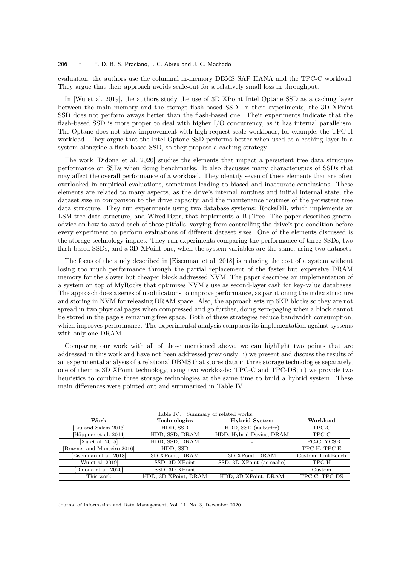#### 206 · F. D. B. S. Praciano, I. C. Abreu and J. C. Machado

evaluation, the authors use the columnal in-memory DBMS SAP HANA and the TPC-C workload. They argue that their approach avoids scale-out for a relatively small loss in throughput.

In [Wu et al. 2019], the authors study the use of 3D XPoint Intel Optane SSD as a caching layer between the main memory and the storage flash-based SSD. In their experiments, the 3D XPoint SSD does not perform aways better than the flash-based one. Their experiments indicate that the flash-based SSD is more proper to deal with higher I/O concurrency, as it has internal parallelism. The Optane does not show improvement with high request scale workloads, for example, the TPC-H workload. They argue that the Intel Optane SSD performs better when used as a cashing layer in a system alongside a flash-based SSD, so they propose a caching strategy.

The work [Didona et al. 2020] studies the elements that impact a persistent tree data structure performance on SSDs when doing benchmarks. It also discusses many characteristics of SSDs that may affect the overall performance of a workload. They identify seven of these elements that are often overlooked in empirical evaluations, sometimes leading to biased and inaccurate conclusions. These elements are related to many aspects, as the drive's internal routines and initial internal state, the dataset size in comparison to the drive capacity, and the maintenance routines of the persistent tree data structure. They run experiments using two database systems: RocksDB, which implements an LSM-tree data structure, and WiredTiger, that implements a B+Tree. The paper describes general advice on how to avoid each of these pitfalls, varying from controlling the drive's pre-condition before every experiment to perform evaluations of different dataset sizes. One of the elements discussed is the storage technology impact. They run experiments comparing the performance of three SSDs, two flash-based SSDs, and a 3D-XPoint one, when the system variables are the same, using two datasets.

The focus of the study described in [Eisenman et al. 2018] is reducing the cost of a system without losing too much performance through the partial replacement of the faster but expensive DRAM memory for the slower but cheaper block addressed NVM. The paper describes an implementation of a system on top of MyRocks that optimizes NVM's use as second-layer cash for key-value databases. The approach does a series of modifications to improve performance, as partitioning the index structure and storing in NVM for releasing DRAM space. Also, the approach sets up 6KB blocks so they are not spread in two physical pages when compressed and go further, doing zero-paging when a block cannot be stored in the page's remaining free space. Both of these strategies reduce bandwidth consumption, which improves performance. The experimental analysis compares its implementation against systems with only one DRAM.

Comparing our work with all of those mentioned above, we can highlight two points that are addressed in this work and have not been addressed previously: i) we present and discuss the results of an experimental analysis of a relational DBMS that stores data in three storage technologies separately, one of them is 3D XPoint technology, using two workloads: TPC-C and TPC-DS; ii) we provide two heuristics to combine three storage technologies at the same time to build a hybrid system. These main differences were pointed out and summarized in Table IV.

| Table IV. Summary of related works. |                      |                           |                   |  |  |  |
|-------------------------------------|----------------------|---------------------------|-------------------|--|--|--|
| Work                                | Technologies         | <b>Hybrid System</b>      | Workload          |  |  |  |
| Liu and Salem 2013                  | HDD, SSD             | HDD, SSD (as buffer)      | TPC-C             |  |  |  |
| Höppner et al. 2014                 | HDD, SSD, DRAM       | HDD, Hybrid Device, DRAM  | TPC-C             |  |  |  |
| [Xu et al. $2015$ ]                 | HDD, SSD, DRAM       |                           | TPC-C, YCSB       |  |  |  |
| [Brayner and Monteiro 2016]         | HDD, SSD             |                           | TPC-H, TPC-E      |  |  |  |
| Eisenman et al. 2018                | 3D XPoint, DRAM      | 3D XPoint, DRAM           | Custom, LinkBench |  |  |  |
| [Wu et al. 2019]                    | SSD, 3D XPoint       | SSD, 3D XPoint (as cache) | TPC-H             |  |  |  |
| [Didona et al. 2020]                | SSD, 3D XPoint       |                           | Custom            |  |  |  |
| This work                           | HDD, 3D XPoint, DRAM | HDD, 3D XPoint, DRAM      | TPC-C. TPC-DS     |  |  |  |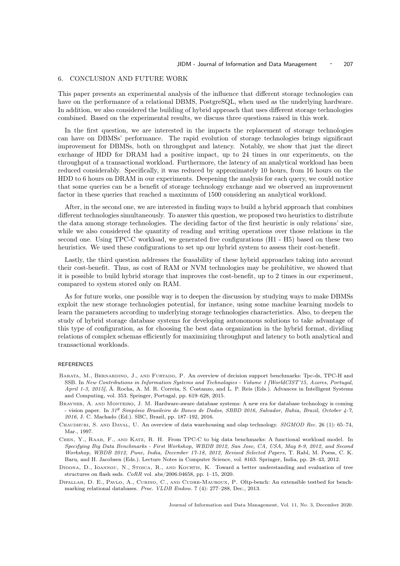## 6. CONCLUSION AND FUTURE WORK

This paper presents an experimental analysis of the influence that different storage technologies can have on the performance of a relational DBMS, PostgreSQL, when used as the underlying hardware. In addition, we also considered the building of hybrid approach that uses different storage technologies combined. Based on the experimental results, we discuss three questions raised in this work.

In the first question, we are interested in the impacts the replacement of storage technologies can have on DBMSs' performance. The rapid evolution of storage technologies brings significant improvement for DBMSs, both on throughput and latency. Notably, we show that just the direct exchange of HDD for DRAM had a positive impact, up to 24 times in our experiments, on the throughput of a transactional workload. Furthermore, the latency of an analytical workload has been reduced considerably. Specifically, it was reduced by approximately 10 hours, from 16 hours on the HDD to 6 hours on DRAM in our experiments. Deepening the analysis for each query, we could notice that some queries can be a benefit of storage technology exchange and we observed an improvement factor in these queries that reached a maximum of 1500 considering an analytical workload.

After, in the second one, we are interested in finding ways to build a hybrid approach that combines different technologies simultaneously. To answer this question, we proposed two heuristics to distribute the data among storage technologies. The deciding factor of the first heuristic is only relations' size, while we also considered the quantity of reading and writing operations over those relations in the second one. Using TPC-C workload, we generated five configurations (H1 - H5) based on these two heuristics. We used these configurations to set up our hybrid system to assess their cost-benefit.

Lastly, the third question addresses the feasability of these hybrid approaches taking into account their cost-benefit. Thus, as cost of RAM or NVM technologies may be prohibitive, we showed that it is possible to build hybrid storage that improves the cost-benefit, up to 2 times in our experiment, compared to system stored only on RAM.

As for future works, one possible way is to deepen the discussion by studying ways to make DBMSs exploit the new storage technologies potential, for instance, using some machine learning models to learn the parameters according to underlying storage technologies characteristics. Also, to deepen the study of hybrid storage database systems for developing autonomous solutions to take advantage of this type of configuration, as for choosing the best data organization in the hybrid format, dividing relations of complex schemas efficiently for maximizing throughput and latency to both analytical and transactional workloads.

#### REFERENCES

- BARATA, M., BERNARDINO, J., AND FURTADO, P. An overview of decision support benchmarks: Tpc-ds, TPC-H and SSB. In New Contributions in Information Systems and Technologies - Volume 1 [WorldCIST'15, Azores, Portugal, April 1-3, 2015], Á. Rocha, A. M. R. Correia, S. Costanzo, and L. P. Reis (Eds.). Advances in Intelligent Systems and Computing, vol. 353. Springer, Portugal, pp. 619–628, 2015.
- Brayner, A. and Monteiro, J. M. Hardware-aware database systems: A new era for database technology is coming - vision paper. In 31º Simpósio Brasileiro de Banco de Dados, SBBD 2016, Salvador, Bahia, Brazil, October 4-7, 2016, J. C. Machado (Ed.). SBC, Brazil, pp. 187–192, 2016.
- Chaudhuri, S. and Dayal, U. An overview of data warehousing and olap technology. SIGMOD Rec. 26 (1): 65–74, Mar., 1997.
- Chen, Y., Raab, F., and Katz, R. H. From TPC-C to big data benchmarks: A functional workload model. In Specifying Big Data Benchmarks - First Workshop, WBDB 2012, San Jose, CA, USA, May 8-9, 2012, and Second Workshop, WBDB 2012, Pune, India, December 17-18, 2012, Revised Selected Papers, T. Rabl, M. Poess, C. K. Baru, and H. Jacobsen (Eds.). Lecture Notes in Computer Science, vol. 8163. Springer, India, pp. 28–43, 2012.
- DIDONA, D., IOANNOU, N., STOICA, R., AND KOURTIS, K. Toward a better understanding and evaluation of tree structures on flash ssds.  $CoRR$  vol. abs/2006.04658, pp. 1–15, 2020.
- Difallah, D. E., Pavlo, A., Curino, C., and Cudre-Mauroux, P. Oltp-bench: An extensible testbed for benchmarking relational databases. Proc. VLDB Endow. 7 (4): 277–288, Dec., 2013.